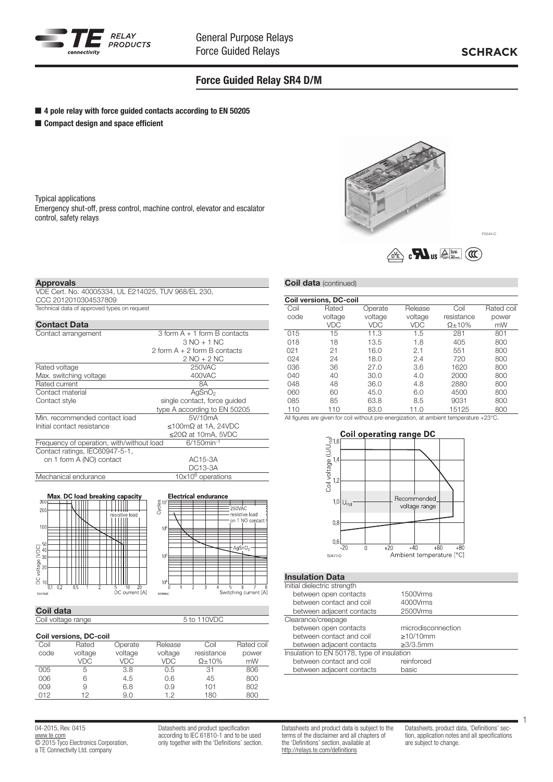

### Force Guided Relay SR4 D/M

- 4 pole relay with force guided contacts according to EN 50205
- Compact design and space efficient

Typical applications Emergency shut-off, press control, machine control, elevator and escalator control, safety relays



#### Approvals

VDE Cert. No. 40005334, UL E214025, TUV 968/EL 230, CCC 2012010304537809 Technical data of approved types on request

| <b>Contact Data</b>                       |                                    |  |  |  |
|-------------------------------------------|------------------------------------|--|--|--|
| Contact arrangement                       | $3$ form $A + 1$ form $B$ contacts |  |  |  |
|                                           | $3 NO + 1 NC$                      |  |  |  |
|                                           | 2 form $A + 2$ form $B$ contacts   |  |  |  |
|                                           | $2 NO + 2 NC$                      |  |  |  |
| Rated voltage                             | 250VAC                             |  |  |  |
| Max. switching voltage                    | 400VAC                             |  |  |  |
| Rated current                             | 8Α                                 |  |  |  |
| Contact material                          | AgSnO <sub>2</sub>                 |  |  |  |
| Contact style                             | single contact, force quided       |  |  |  |
|                                           | type A according to EN 50205       |  |  |  |
| Min. recommended contact load             | 5V/10mA                            |  |  |  |
| Initial contact resistance                | $\leq$ 100mΩ at 1A, 24VDC          |  |  |  |
|                                           | $\leq$ 20Ω at 10mA, 5VDC           |  |  |  |
| Frequency of operation, with/without load | $6/150$ min <sup>-1</sup>          |  |  |  |
| Contact ratings, IEC60947-5-1,            |                                    |  |  |  |
| on 1 form A (NO) contact                  | AC15-3A                            |  |  |  |
|                                           | DC13-3A                            |  |  |  |
| Mechanical endurance                      | $10\times10^6$ operations          |  |  |  |
|                                           |                                    |  |  |  |



# Coil data

Coil voltage range 5 to 110VDC

#### Coil versions, DC-coil

|      | 501.3013.5013.50011 |         |         |                |            |
|------|---------------------|---------|---------|----------------|------------|
| Coil | Rated               | Operate | Release | Coil           | Rated coil |
| code | voltage             | voltage | voltage | resistance     | power      |
|      | VDC                 | VDC     | VDC     | $\Omega$ + 10% | mW         |
| 005  | 5                   | 3.8     | 0.5     | 31             | 806        |
| 006  | 6                   | 4.5     | 0.6     | 45             | 800        |
| 009  | 9                   | 6.8     | 0.9     | 101            | 802        |
| 012  | 12                  | 9.0     | 12      | 180            | 800        |

04-2015, Rev. 0415 www.te.com © 2015 Tyco Electronics Corporation, a TE Connectivity Ltd. company

Datasheets and product specification according to IEC 61810-1 and to be used only together with the 'Definitions' section.

#### **Coil data** (continued)

|      | <b>Coil versions, DC-coil</b> |         |            |                |            |
|------|-------------------------------|---------|------------|----------------|------------|
| Coil | Rated                         | Operate | Release    | Coil           | Rated coil |
| code | voltage                       | voltage | voltage    | resistance     | power      |
|      | VDC                           | VDC     | <b>VDC</b> | $\Omega$ + 10% | mW         |
| 015  | 15                            | 11.3    | 1.5        | 281            | 801        |
| 018  | 18                            | 13.5    | 1.8        | 405            | 800        |
| 021  | 21                            | 16.0    | 2.1        | 551            | 800        |
| 024  | 24                            | 18.0    | 2.4        | 720            | 800        |
| 036  | 36                            | 27.0    | 3.6        | 1620           | 800        |
| 040  | 40                            | 30.0    | 4.0        | 2000           | 800        |
| 048  | 48                            | 36.0    | 4.8        | 2880           | 800        |
| 060  | 60                            | 45.0    | 6.0        | 4500           | 800        |
| 085  | 85                            | 63.8    | 8.5        | 9031           | 800        |
| 110  | 110                           | 83.0    | 11.0       | 15125          | 800        |

All figures are given for coil without pre-energization, at ambient temperature +23°C.



### Insulation Data

| Initial dielectric strength                |                    |
|--------------------------------------------|--------------------|
| between open contacts                      | 1500Vrms           |
| between contact and coil                   | 4000Vrms           |
| between adjacent contacts                  | 2500Vrms           |
| Clearance/creepage                         |                    |
| between open contacts                      | microdisconnection |
| between contact and coil                   | $\geq$ 10/10mm     |
| between adjacent contacts                  | $\geq$ 3/3.5mm     |
| Insulation to EN 50178, type of insulation |                    |
| between contact and coil                   | reinforced         |
| between adjacent contacts                  | basic              |

Datasheets and product data is subject to the terms of the disclaimer and all chapters of the 'Definitions' section, available at http://relays.te.com/definitions

Datasheets, product data, 'Definitions' section, application notes and all specifications are subject to change.

1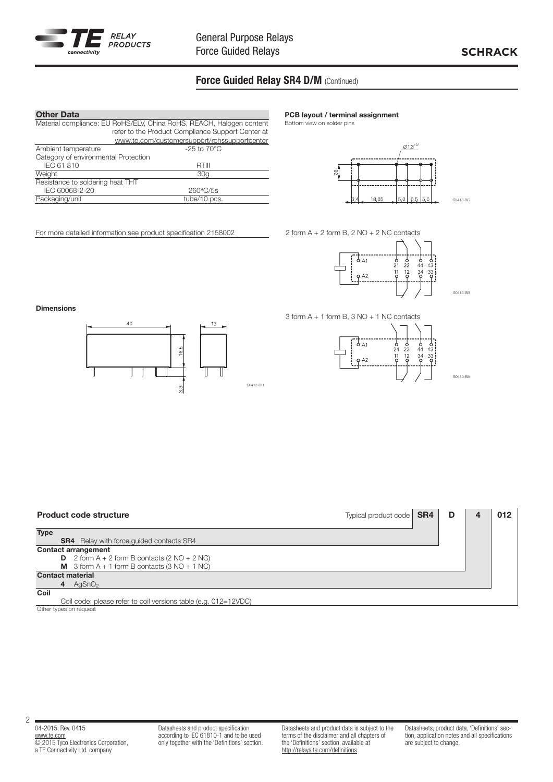

## Force Guided Relay SR4 D/M (Continued)

| <b>Other Data</b>                                                    |                                                   |  |  |
|----------------------------------------------------------------------|---------------------------------------------------|--|--|
| Material compliance: EU RoHS/ELV, China RoHS, REACH, Halogen content |                                                   |  |  |
|                                                                      | refer to the Product Compliance Support Center at |  |  |
|                                                                      | www.te.com/customersupport/rohssupportcenter      |  |  |
| Ambient temperature                                                  | $-25$ to $70^{\circ}$ C                           |  |  |
| Category of environmental Protection                                 |                                                   |  |  |
| IEC 61 810                                                           | RTIII                                             |  |  |
| Weight                                                               | 30 <sub>a</sub>                                   |  |  |
| Resistance to soldering heat THT                                     |                                                   |  |  |
| IEC 60068-2-20                                                       | $260^{\circ}$ C/5s                                |  |  |
| Packaging/unit                                                       | tube/10 pcs.                                      |  |  |
|                                                                      |                                                   |  |  |

For more detailed information see product specification 2158002



Bottom view on solder pins



2 form A + 2 form B, 2 NO + 2 NC contacts



S0413-BB

S0413-BA

3 form A + 1 form B, 3 NO + 1 NC contacts



Dimensions





S0412-BH

2

Datasheets and product specification according to IEC 61810-1 and to be used only together with the 'Definitions' section. Datasheets and product data is subject to the terms of the disclaimer and all chapters of the 'Definitions' section, available at http://relays.te.com/definitions

Datasheets, product data, 'Definitions' section, application notes and all specifications are subject to change.